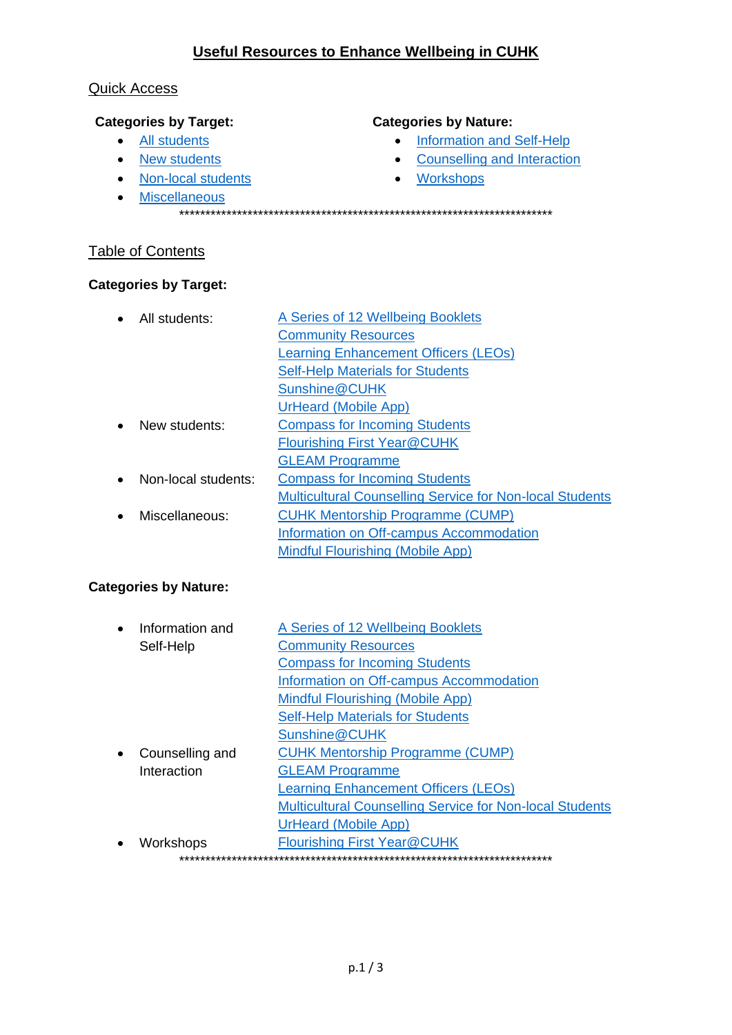# Useful Resources to Enhance Wellbeing in CUHK

#### <span id="page-0-7"></span>**Quick Access**

## **Categories by Target:**

- All students
- New students
- Non-local students
- Miscellaneous

#### **Categories by Nature:**

- Information and Self-Help
- Counselling and Interaction
- Workshops
- 

# **Table of Contents**

## **Categories by Target:**

<span id="page-0-1"></span><span id="page-0-0"></span>

| $\bullet$ | All students:       | A Series of 12 Wellbeing Booklets                        |
|-----------|---------------------|----------------------------------------------------------|
|           |                     | <b>Community Resources</b>                               |
|           |                     | <b>Learning Enhancement Officers (LEOs)</b>              |
|           |                     | <b>Self-Help Materials for Students</b>                  |
|           |                     | Sunshine@CUHK                                            |
|           |                     | UrHeard (Mobile App)                                     |
| $\bullet$ | New students:       | <b>Compass for Incoming Students</b>                     |
|           |                     | <b>Flourishing First Year@CUHK</b>                       |
|           |                     | <b>GLEAM Programme</b>                                   |
| $\bullet$ | Non-local students: | <b>Compass for Incoming Students</b>                     |
|           |                     | Multicultural Counselling Service for Non-local Students |
| $\bullet$ | Miscellaneous:      | <b>CUHK Mentorship Programme (CUMP)</b>                  |
|           |                     | Information on Off-campus Accommodation                  |
|           |                     | Mindful Flourishing (Mobile App)                         |

## <span id="page-0-3"></span><span id="page-0-2"></span>**Categories by Nature:**

<span id="page-0-6"></span><span id="page-0-5"></span><span id="page-0-4"></span>

| $\bullet$ | Information and | A Series of 12 Wellbeing Booklets                               |
|-----------|-----------------|-----------------------------------------------------------------|
|           | Self-Help       | <b>Community Resources</b>                                      |
|           |                 | <b>Compass for Incoming Students</b>                            |
|           |                 | Information on Off-campus Accommodation                         |
|           |                 | Mindful Flourishing (Mobile App)                                |
|           |                 | <b>Self-Help Materials for Students</b>                         |
|           |                 | Sunshine@CUHK                                                   |
|           | Counselling and | <b>CUHK Mentorship Programme (CUMP)</b>                         |
|           | Interaction     | <b>GLEAM Programme</b>                                          |
|           |                 | <b>Learning Enhancement Officers (LEOs)</b>                     |
|           |                 | <b>Multicultural Counselling Service for Non-local Students</b> |
|           |                 | <b>UrHeard (Mobile App)</b>                                     |
|           | Workshops       | Flourishing First Year@CUHK                                     |
|           |                 |                                                                 |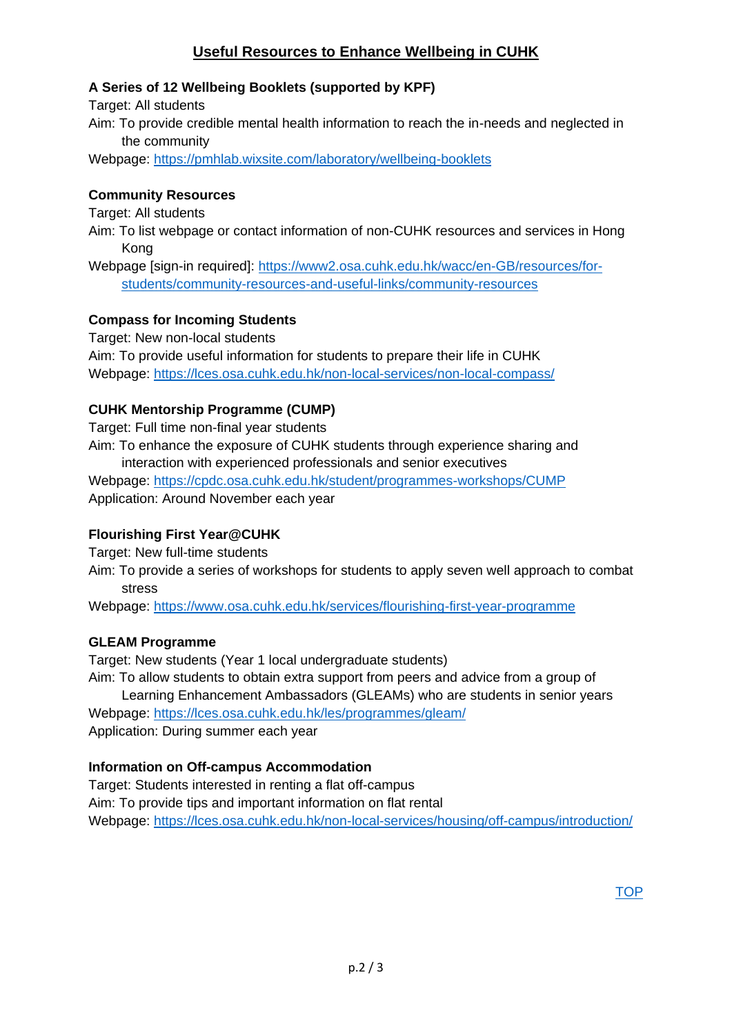# **Useful Resources to Enhance Wellbeing in CUHK**

## <span id="page-1-0"></span>**A Series of 12 Wellbeing Booklets (supported by KPF)**

Target: All students

Aim: To provide credible mental health information to reach the in-needs and neglected in the community

Webpage:<https://pmhlab.wixsite.com/laboratory/wellbeing-booklets>

## <span id="page-1-1"></span>**Community Resources**

Target: All students

Aim: To list webpage or contact information of non-CUHK resources and services in Hong Kong

Webpage [sign-in required]: [https://www2.osa.cuhk.edu.hk/wacc/en-GB/resources/for](https://www2.osa.cuhk.edu.hk/wacc/en-GB/resources/for-students/community-resources-and-useful-links/community-resources)[students/community-resources-and-useful-links/community-resources](https://www2.osa.cuhk.edu.hk/wacc/en-GB/resources/for-students/community-resources-and-useful-links/community-resources)

## <span id="page-1-2"></span>**Compass for Incoming Students**

Target: New non-local students Aim: To provide useful information for students to prepare their life in CUHK Webpage:<https://lces.osa.cuhk.edu.hk/non-local-services/non-local-compass/>

## <span id="page-1-5"></span>**CUHK Mentorship Programme (CUMP)**

Target: Full time non-final year students

Aim: To enhance the exposure of CUHK students through experience sharing and interaction with experienced professionals and senior executives Webpage:<https://cpdc.osa.cuhk.edu.hk/student/programmes-workshops/CUMP>

Application: Around November each year

# <span id="page-1-3"></span>**Flourishing First Year@CUHK**

Target: New full-time students

Aim: To provide a series of workshops for students to apply seven well approach to combat stress

Webpage: <https://www.osa.cuhk.edu.hk/services/flourishing-first-year-programme>

## <span id="page-1-4"></span>**GLEAM Programme**

Target: New students (Year 1 local undergraduate students)

Aim: To allow students to obtain extra support from peers and advice from a group of Learning Enhancement Ambassadors (GLEAMs) who are students in senior years Webpage:<https://lces.osa.cuhk.edu.hk/les/programmes/gleam/> Application: During summer each year

## <span id="page-1-6"></span>**Information on Off-campus Accommodation**

Target: Students interested in renting a flat off-campus Aim: To provide tips and important information on flat rental Webpage:<https://lces.osa.cuhk.edu.hk/non-local-services/housing/off-campus/introduction/>

**[TOP](#page-0-7)**